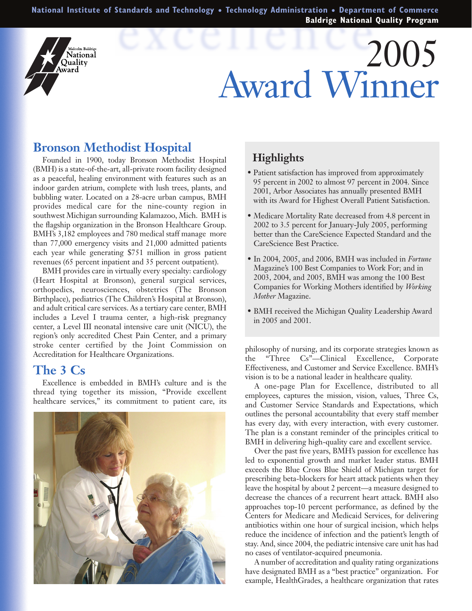**National Institute of Standards and Technology** ● **Technology Administration** ● **Department of Commerce Baldrige National Quality Program**

# 2005 Award Winner

## **Bronson Methodist Hospital**

alcolm Baldrige National Ouality Award

Founded in 1900, today Bronson Methodist Hospital (BMH) is a state-of-the-art, all-private room facility designed as a peaceful, healing environment with features such as an indoor garden atrium, complete with lush trees, plants, and bubbling water. Located on a 28-acre urban campus, BMH provides medical care for the nine-county region in southwest Michigan surrounding Kalamazoo, Mich. BMH is the flagship organization in the Bronson Healthcare Group. BMH's 3,182 employees and 780 medical staff manage more than 77,000 emergency visits and 21,000 admitted patients each year while generating \$751 million in gross patient revenues (65 percent inpatient and 35 percent outpatient).

BMH provides care in virtually every specialty: cardiology (Heart Hospital at Bronson), general surgical services, orthopedics, neurosciences, obstetrics (The Bronson Birthplace), pediatrics (The Children's Hospital at Bronson), and adult critical care services. As a tertiary care center, BMH includes a Level I trauma center, a high-risk pregnancy center, a Level III neonatal intensive care unit (NICU), the region's only accredited Chest Pain Center, and a primary stroke center certified by the Joint Commission on Accreditation for Healthcare Organizations.

#### **The 3 Cs**

Excellence is embedded in BMH's culture and is the thread tying together its mission, "Provide excellent healthcare services," its commitment to patient care, its



## **Highlights**

- Patient satisfaction has improved from approximately 95 percent in 2002 to almost 97 percent in 2004. Since 2001, Arbor Associates has annually presented BMH with its Award for Highest Overall Patient Satisfaction.
- Medicare Mortality Rate decreased from 4.8 percent in 2002 to 3.5 percent for January-July 2005, performing better than the CareScience Expected Standard and the CareScience Best Practice.
- In 2004, 2005, and 2006, BMH was included in *Fortune* Magazine's 100 Best Companies to Work For; and in 2003, 2004, and 2005, BMH was among the 100 Best Companies for Working Mothers identified by *Working Mother* Magazine.
- BMH received the Michigan Quality Leadership Award in 2005 and 2001.

philosophy of nursing, and its corporate strategies known as the "Three Cs"—Clinical Excellence, Corporate Effectiveness, and Customer and Service Excellence. BMH's vision is to be a national leader in healthcare quality.

A one-page Plan for Excellence, distributed to all employees, captures the mission, vision, values, Three Cs, and Customer Service Standards and Expectations, which outlines the personal accountability that every staff member has every day, with every interaction, with every customer. The plan is a constant reminder of the principles critical to BMH in delivering high-quality care and excellent service.

Over the past five years, BMH's passion for excellence has led to exponential growth and market leader status. BMH exceeds the Blue Cross Blue Shield of Michigan target for prescribing beta-blockers for heart attack patients when they leave the hospital by about 2 percent—a measure designed to decrease the chances of a recurrent heart attack. BMH also approaches top-10 percent performance, as defined by the Centers for Medicare and Medicaid Services, for delivering antibiotics within one hour of surgical incision, which helps reduce the incidence of infection and the patient's length of stay. And, since 2004, the pediatric intensive care unit has had no cases of ventilator-acquired pneumonia.

A number of accreditation and quality rating organizations have designated BMH as a "best practice" organization. For example, HealthGrades, a healthcare organization that rates